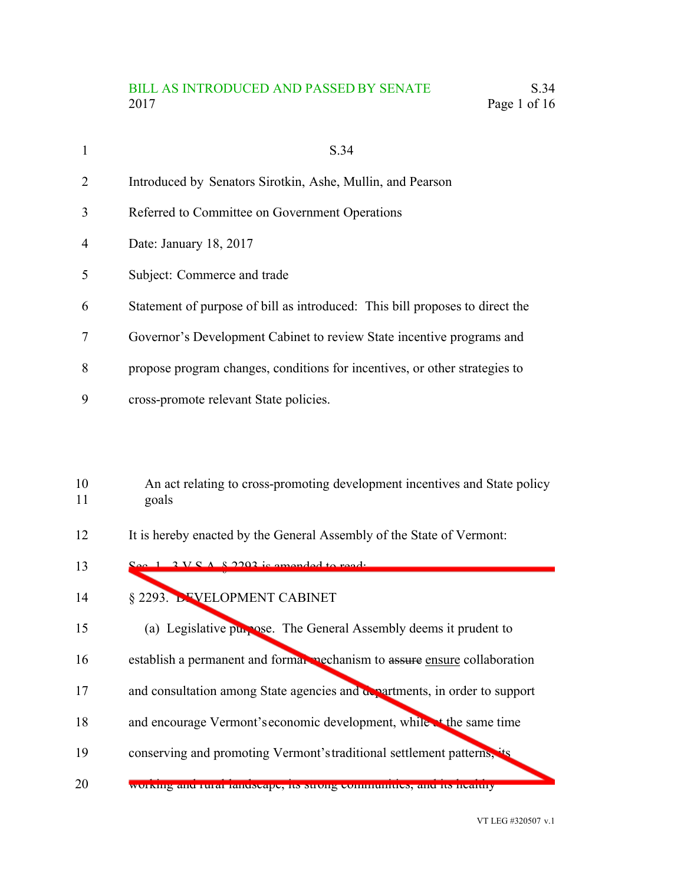## BILL AS INTRODUCED AND PASSED BY SENATE S.34 2017 Page 1 of 16

| $\mathbf{1}$   | S.34                                                                         |
|----------------|------------------------------------------------------------------------------|
| $\overline{2}$ | Introduced by Senators Sirotkin, Ashe, Mullin, and Pearson                   |
| 3              | Referred to Committee on Government Operations                               |
| $\overline{4}$ | Date: January 18, 2017                                                       |
| 5              | Subject: Commerce and trade                                                  |
| 6              | Statement of purpose of bill as introduced: This bill proposes to direct the |
| $\overline{7}$ | Governor's Development Cabinet to review State incentive programs and        |
| 8              | propose program changes, conditions for incentives, or other strategies to   |
| 9              | cross-promote relevant State policies.                                       |
|                |                                                                              |
|                |                                                                              |

- An act relating to cross-promoting development incentives and State policy goals 10 11
- It is hereby enacted by the General Assembly of the State of Vermont: 12
- $S^1$   $\rightarrow$   $S^1$   $\rightarrow$   $S^2$   $\rightarrow$   $S^2$   $\rightarrow$   $S^2$   $\rightarrow$   $S^2$   $\rightarrow$   $S^2$   $\rightarrow$   $S^2$   $\rightarrow$   $S^2$   $\rightarrow$   $S^2$   $\rightarrow$   $S^2$   $\rightarrow$   $S^2$   $\rightarrow$   $S^2$   $\rightarrow$   $S^2$   $\rightarrow$   $S^2$   $\rightarrow$   $S^2$   $\rightarrow$   $S^2$   $\rightarrow$   $S^2$   $\rightarrow$   $S^2$   $\rightarrow$   $S^2$   $\rightarrow$  13
- § 2293. DEVELOPMENT CABINET 14
- (a) Legislative purpose. The General Assembly deems it prudent to 15
- establish a permanent and formal mechanism to assure ensure collaboration 16
- and consultation among State agencies and departments, in order to support 17
- and encourage Vermont'seconomic development, while at the same time 18
- conserving and promoting Vermont's traditional settlement patterns, 19
- working and rural landscape, its strong communities, and its healthy 20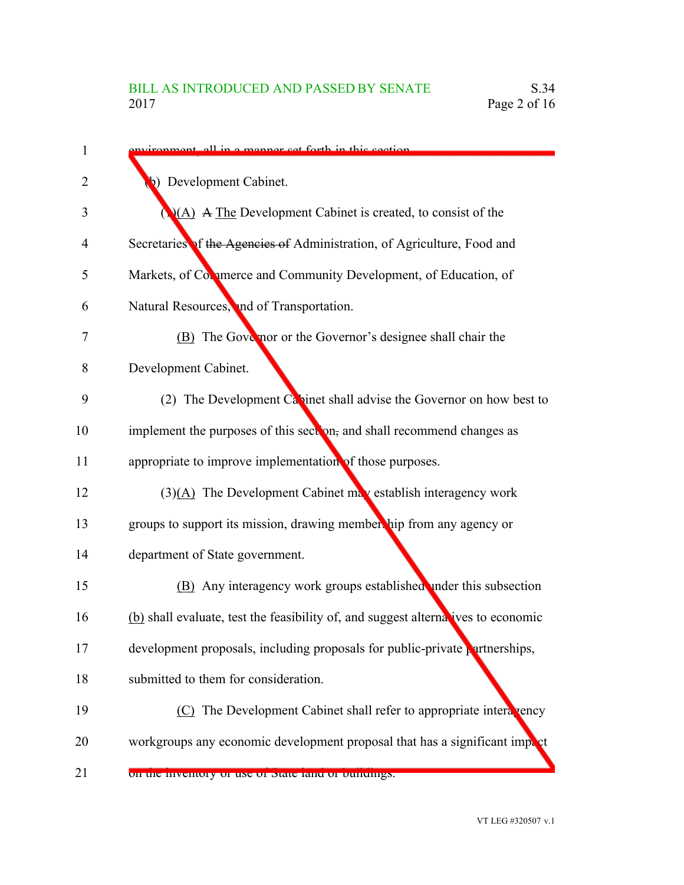| 1              | all in a manner get forth in this section.                                        |
|----------------|-----------------------------------------------------------------------------------|
| $\overline{2}$ | b) Development Cabinet.                                                           |
| 3              | $(A)$ A The Development Cabinet is created, to consist of the                     |
| 4              | Secretaries of the Agencies of Administration, of Agriculture, Food and           |
| 5              | Markets, of Commerce and Community Development, of Education, of                  |
| 6              | Natural Resources, and of Transportation.                                         |
| 7              | (B) The Gove nor or the Governor's designee shall chair the                       |
| 8              | Development Cabinet.                                                              |
| 9              | (2) The Development Capinet shall advise the Governor on how best to              |
| 10             | implement the purposes of this section, and shall recommend changes as            |
| 11             | appropriate to improve implementation of those purposes.                          |
| 12             | $(3)(\underline{A})$ The Development Cabinet may establish interagency work       |
| 13             | groups to support its mission, drawing membership from any agency or              |
| 14             | department of State government.                                                   |
| 15             | (B) Any interagency work groups established under this subsection                 |
| 16             | (b) shall evaluate, test the feasibility of, and suggest alternatives to economic |
| 17             | development proposals, including proposals for public-private partnerships,       |
| 18             | submitted to them for consideration.                                              |
| 19             | (C) The Development Cabinet shall refer to appropriate intera vency               |
| 20             | workgroups any economic development proposal that has a significant import        |
| 21             | on the inventory of use of state failured buildings.                              |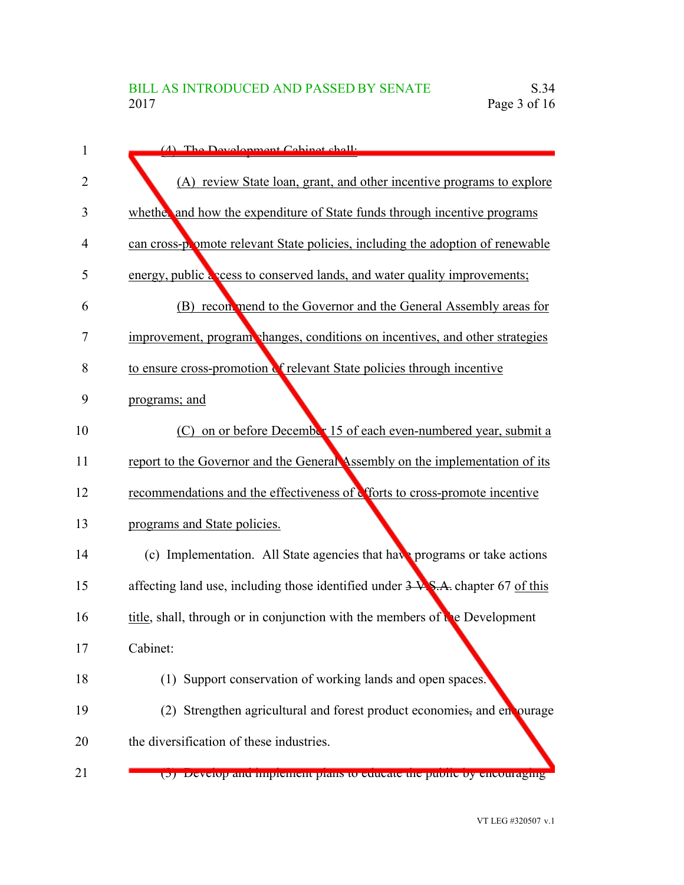| 1  | (A) The Development Cepinet shall:                                                       |
|----|------------------------------------------------------------------------------------------|
| 2  | (A) review State loan, grant, and other incentive programs to explore                    |
| 3  | whether and how the expenditure of State funds through incentive programs                |
| 4  | can cross-promote relevant State policies, including the adoption of renewable           |
| 5  | energy, public a coss to conserved lands, and water quality improvements;                |
| 6  | (B) recommend to the Governor and the General Assembly areas for                         |
| 7  | improvement, program changes, conditions on incentives, and other strategies             |
| 8  | to ensure cross-promotion of relevant State policies through incentive                   |
| 9  | programs; and                                                                            |
| 10 | on or before December 15 of each even-numbered year, submit a<br>(C)                     |
| 11 | report to the Governor and the General Assembly on the implementation of its             |
| 12 | recommendations and the effectiveness of efforts to cross-promote incentive              |
| 13 | programs and State policies.                                                             |
| 14 | (c) Implementation. All State agencies that have programs or take actions                |
| 15 | affecting land use, including those identified under $3\sqrt{8}$ . A. chapter 67 of this |
| 16 | title, shall, through or in conjunction with the members of the Development              |
| 17 | Cabinet:                                                                                 |
| 18 | (1) Support conservation of working lands and open spaces.                               |
| 19 | (2) Strengthen agricultural and forest product economies, and enourage                   |
| 20 | the diversification of these industries.                                                 |
| 21 | (כ) Develop and implement plans to educate the public by encouraging                     |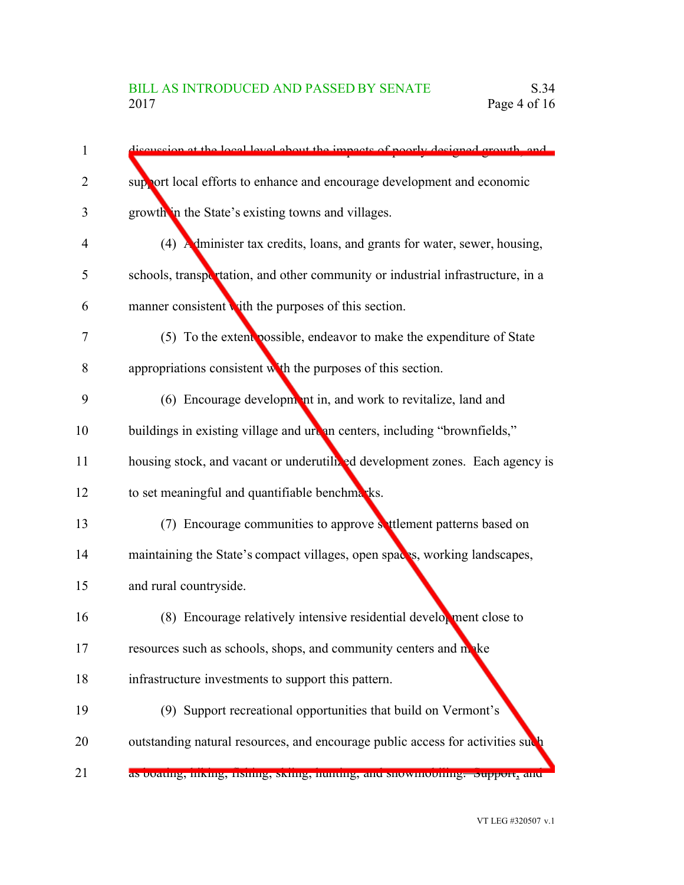| $\mathbf{1}$   | discussion at the local level about the impacts of poorly designed growth, and  |
|----------------|---------------------------------------------------------------------------------|
| $\overline{2}$ | support local efforts to enhance and encourage development and economic         |
| 3              | growth in the State's existing towns and villages.                              |
| 4              | (4) Administer tax credits, loans, and grants for water, sewer, housing,        |
| 5              | schools, transportation, and other community or industrial infrastructure, in a |
| 6              | manner consistent with the purposes of this section.                            |
| 7              | (5) To the extent possible, endeavor to make the expenditure of State           |
| 8              | appropriations consistent with the purposes of this section.                    |
| 9              | (6) Encourage development in, and work to revitalize, land and                  |
| 10             | buildings in existing village and urean centers, including "brownfields,"       |
| 11             | housing stock, and vacant or underutilized development zones. Each agency is    |
| 12             | to set meaningful and quantifiable benchmarks.                                  |
| 13             | (7) Encourage communities to approve settlement patterns based on               |
| 14             | maintaining the State's compact villages, open spaces, working landscapes,      |
| 15             | and rural countryside.                                                          |
| 16             | (8) Encourage relatively intensive residential development close to             |
| 17             | resources such as schools, shops, and community centers and make                |
| 18             | infrastructure investments to support this pattern.                             |
| 19             | (9) Support recreational opportunities that build on Vermont's                  |
| 20             | outstanding natural resources, and encourage public access for activities such  |
| 21             | as boating, mking, nsmng, skimg, nunung, and snowmobinng. Support, and          |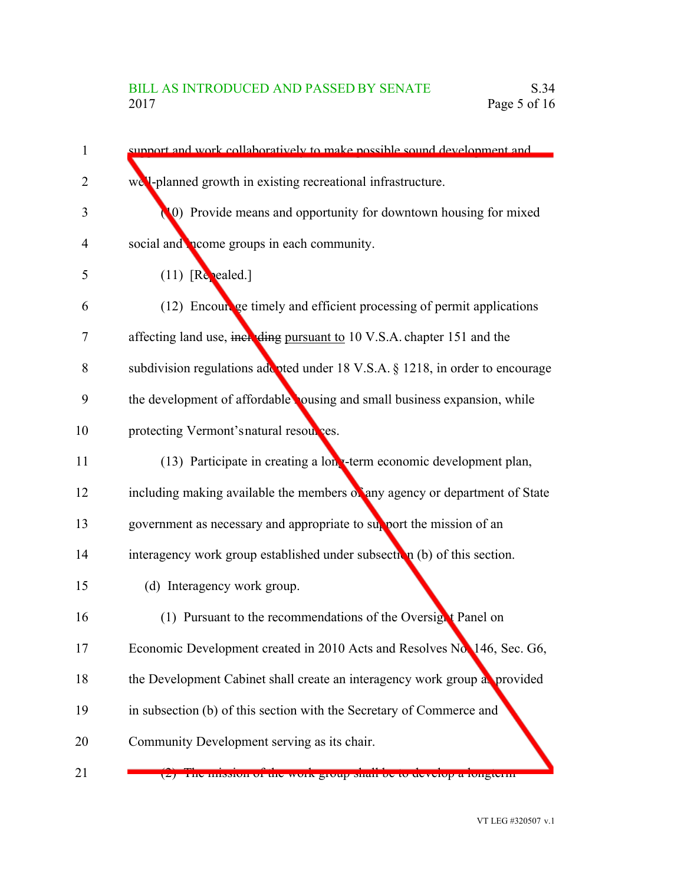| 1              | support and work collaboratively to make possible sound development and        |
|----------------|--------------------------------------------------------------------------------|
| $\overline{2}$ | we'l-planned growth in existing recreational infrastructure.                   |
| 3              | (0) Provide means and opportunity for downtown housing for mixed               |
| 4              | social and <b>n</b> eome groups in each community.                             |
| 5              | $(11)$ [Repealed.]                                                             |
| 6              | (12) Encourage timely and efficient processing of permit applications          |
| 7              | affecting land use, including pursuant to 10 V.S.A. chapter 151 and the        |
| 8              | subdivision regulations add pted under 18 V.S.A. § 1218, in order to encourage |
| 9              | the development of affordable ousing and small business expansion, while       |
| 10             | protecting Vermont's natural resources.                                        |
| 11             | (13) Participate in creating a long-term economic development plan,            |
| 12             | including making available the members of any agency or department of State    |
| 13             | government as necessary and appropriate to support the mission of an           |
| 14             | interagency work group established under subsection (b) of this section.       |
| 15             | (d) Interagency work group.                                                    |
| 16             | (1) Pursuant to the recommendations of the Oversignt Panel on                  |
| 17             | Economic Development created in 2010 Acts and Resolves No. 146, Sec. G6,       |
| 18             | the Development Cabinet shall create an interagency work group as provided     |
| 19             | in subsection (b) of this section with the Secretary of Commerce and           |
| 20             | Community Development serving as its chair.                                    |
| 21             | mnouvn vi mv work group onan ov to develop a rongterm                          |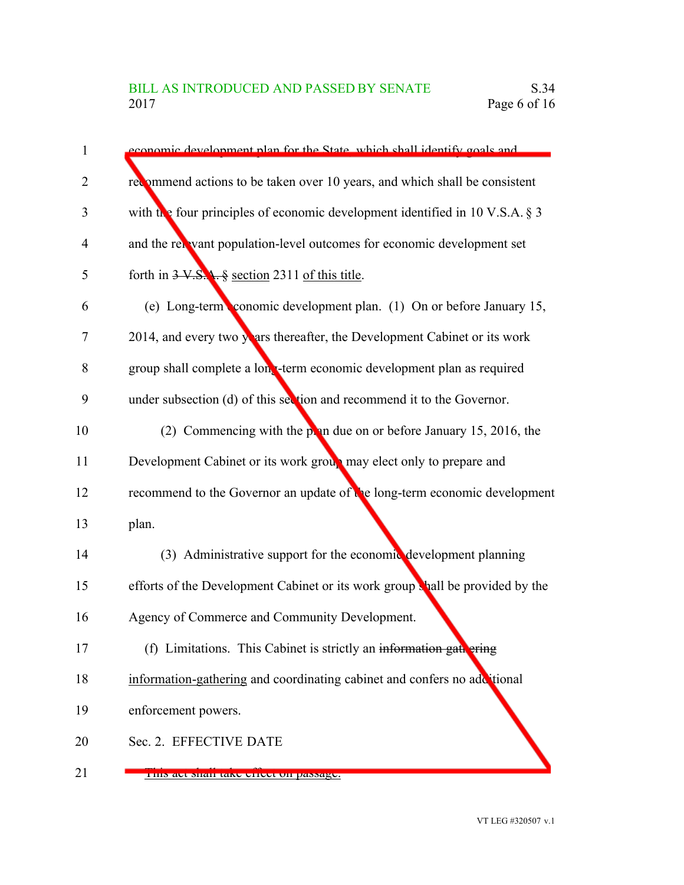| $\mathbf{1}$   | economic development plan for the State, which shall identify goals and         |
|----------------|---------------------------------------------------------------------------------|
| $\overline{2}$ | recommend actions to be taken over 10 years, and which shall be consistent      |
| 3              | with the four principles of economic development identified in 10 V.S.A. $\S$ 3 |
| $\overline{4}$ | and the relevant population-level outcomes for economic development set         |
| 5              | forth in $3 \text{ V.S.}$ , $\frac{6}{3}$ section 2311 of this title.           |
| 6              | (e) Long-term conomic development plan. (1) On or before January 15,            |
| 7              | 2014, and every two years thereafter, the Development Cabinet or its work       |
| 8              | group shall complete a long-term economic development plan as required          |
| 9              | under subsection (d) of this section and recommend it to the Governor.          |
| 10             | (2) Commencing with the point due on or before January 15, 2016, the            |
| 11             | Development Cabinet or its work group may elect only to prepare and             |
| 12             | recommend to the Governor an update of the long-term economic development       |
| 13             | plan.                                                                           |
| 14             | (3) Administrative support for the economic development planning                |
| 15             | efforts of the Development Cabinet or its work group shall be provided by the   |
| 16             | Agency of Commerce and Community Development.                                   |
| 17             | (f) Limitations. This Cabinet is strictly an information gate ering             |
| 18             | information-gathering and coordinating cabinet and confers no additional        |
| 19             | enforcement powers.                                                             |
| 20             | Sec. 2. EFFECTIVE DATE                                                          |
| 21             | <u>FIIIS au Shan iain unuu un passagu.</u>                                      |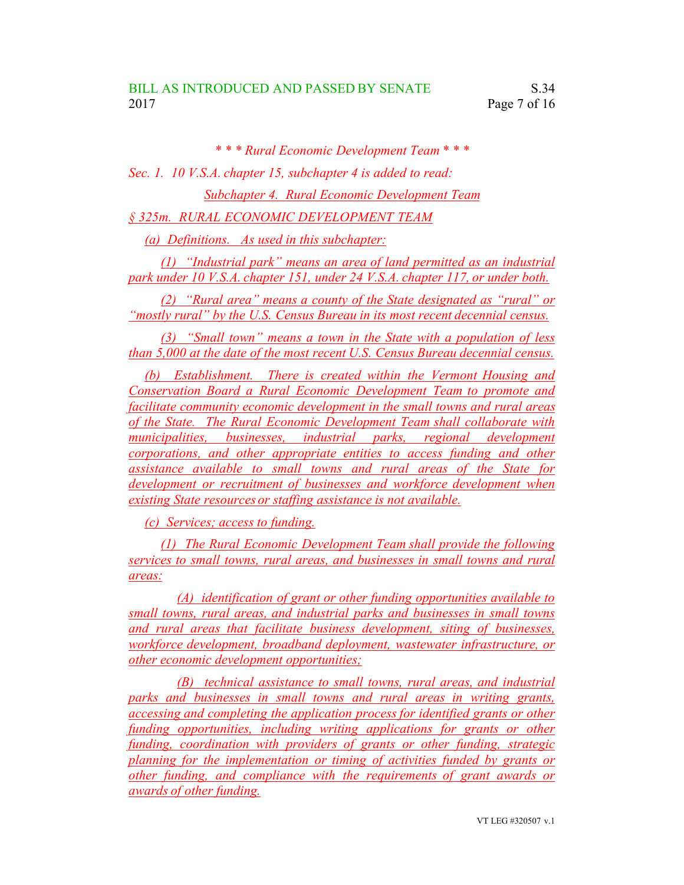*\* \* \* Rural Economic Development Team \* \* \* Sec. 1. 10 V.S.A. chapter 15, subchapter 4 is added to read: Subchapter 4. Rural Economic Development Team § 325m. RURAL ECONOMIC DEVELOPMENT TEAM*

*(a) Definitions. As used in this subchapter:*

*(1) "Industrial park" means an area of land permitted as an industrial park under 10 V.S.A. chapter 151, under 24 V.S.A. chapter 117, or under both.*

*(2) "Rural area" means a county of the State designated as "rural" or "mostly rural" by the U.S. Census Bureau in its most recent decennial census.*

*(3) "Small town" means a town in the State with a population of less than 5,000 at the date of the most recent U.S. Census Bureau decennial census.*

*(b) Establishment. There is created within the Vermont Housing and Conservation Board a Rural Economic Development Team to promote and facilitate community economic development in the small towns and rural areas of the State. The Rural Economic Development Team shall collaborate with municipalities, businesses, industrial parks, regional development corporations, and other appropriate entities to access funding and other assistance available to small towns and rural areas of the State for development or recruitment of businesses and workforce development when existing State resources or staffing assistance is not available.*

*(c) Services; access to funding.*

*(1) The Rural Economic Development Team shall provide the following services to small towns, rural areas, and businesses in small towns and rural areas:*

*(A) identification of grant or other funding opportunities available to small towns, rural areas, and industrial parks and businesses in small towns and rural areas that facilitate business development, siting of businesses, workforce development, broadband deployment, wastewater infrastructure, or other economic development opportunities;*

*(B) technical assistance to small towns, rural areas, and industrial parks and businesses in small towns and rural areas in writing grants, accessing and completing the application process for identified grants or other funding opportunities, including writing applications for grants or other funding, coordination with providers of grants or other funding, strategic planning for the implementation or timing of activities funded by grants or other funding, and compliance with the requirements of grant awards or awards of other funding.*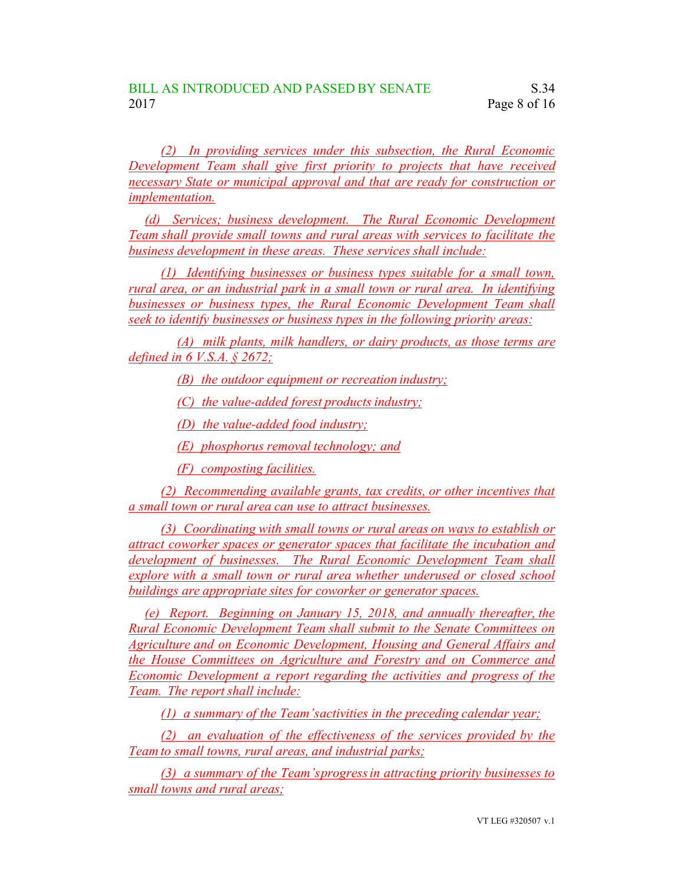*(2) In providing services under this subsection, the Rural Economic Development Team shall give first priority to projects that have received necessary State or municipal approval and that are ready for construction or implementation.*

*(d) Services; business development. The Rural Economic Development Team shall provide small towns and rural areas with services to facilitate the business development in these areas. These services shall include:*

*(1) Identifying businesses or business types suitable for a small town, rural area, or an industrial park in a small town or rural area. In identifying businesses or business types, the Rural Economic Development Team shall seek to identify businesses or business types in the following priority areas:*

*(A) milk plants, milk handlers, or dairy products, as those terms are defined in 6 V.S.A. § 2672;*

*(B) the outdoor equipment or recreation industry;*

*(C) the value-added forest products industry;*

*(D) the value-added food industry;*

*(E) phosphorus removal technology; and*

*(F) composting facilities.*

*(2) Recommending available grants, tax credits, or other incentives that a small town or rural area can use to attract businesses.*

*(3) Coordinating with small towns or rural areas on ways to establish or attract coworker spaces or generator spaces that facilitate the incubation and development of businesses. The Rural Economic Development Team shall explore with a small town or rural area whether underused or closed school buildings are appropriate sites for coworker or generator spaces.*

*(e) Report. Beginning on January 15, 2018, and annually thereafter, the Rural Economic Development Team shall submit to the Senate Committees on Agriculture and on Economic Development, Housing and General Affairs and the House Committees on Agriculture and Forestry and on Commerce and Economic Development a report regarding the activities and progress of the Team. The report shall include:*

*(1) a summary of the Team'sactivities in the preceding calendar year;*

*(2) an evaluation of the effectiveness of the services provided by the Team to small towns, rural areas, and industrial parks;*

*(3) a summary of the Team'sprogressin attracting priority businesses to small towns and rural areas;*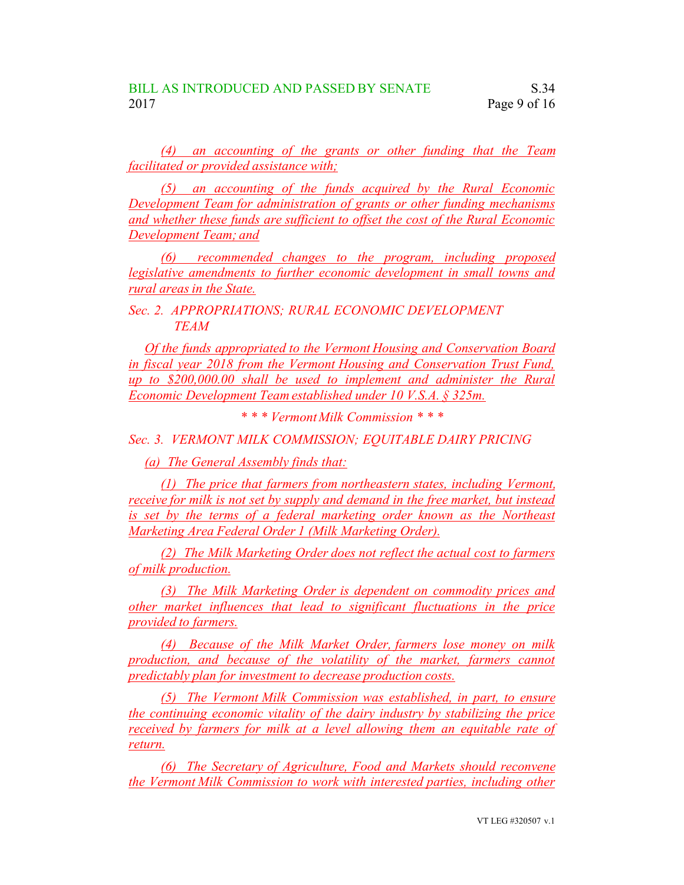*(4) an accounting of the grants or other funding that the Team facilitated or provided assistance with;*

*(5) an accounting of the funds acquired by the Rural Economic Development Team for administration of grants or other funding mechanisms and whether these funds are sufficient to offset the cost of the Rural Economic Development Team; and*

*(6) recommended changes to the program, including proposed legislative amendments to further economic development in small towns and rural areas in the State.*

*Sec. 2. APPROPRIATIONS; RURAL ECONOMIC DEVELOPMENT TEAM*

*Of the funds appropriated to the Vermont Housing and Conservation Board in fiscal year 2018 from the Vermont Housing and Conservation Trust Fund, up to \$200,000.00 shall be used to implement and administer the Rural Economic Development Team established under 10 V.S.A. § 325m.*

*\* \* \* Vermont Milk Commission \* \* \**

*Sec. 3. VERMONT MILK COMMISSION; EQUITABLE DAIRY PRICING*

*(a) The General Assembly finds that:*

*(1) The price that farmers from northeastern states, including Vermont, receive for milk is not set by supply and demand in the free market, but instead is set by the terms of a federal marketing order known as the Northeast Marketing Area Federal Order 1 (Milk Marketing Order).*

*(2) The Milk Marketing Order does not reflect the actual cost to farmers of milk production.*

*(3) The Milk Marketing Order is dependent on commodity prices and other market influences that lead to significant fluctuations in the price provided to farmers.*

*(4) Because of the Milk Market Order, farmers lose money on milk production, and because of the volatility of the market, farmers cannot predictably plan for investment to decrease production costs.*

*(5) The Vermont Milk Commission was established, in part, to ensure the continuing economic vitality of the dairy industry by stabilizing the price received by farmers for milk at a level allowing them an equitable rate of return.*

*(6) The Secretary of Agriculture, Food and Markets should reconvene the Vermont Milk Commission to work with interested parties, including other*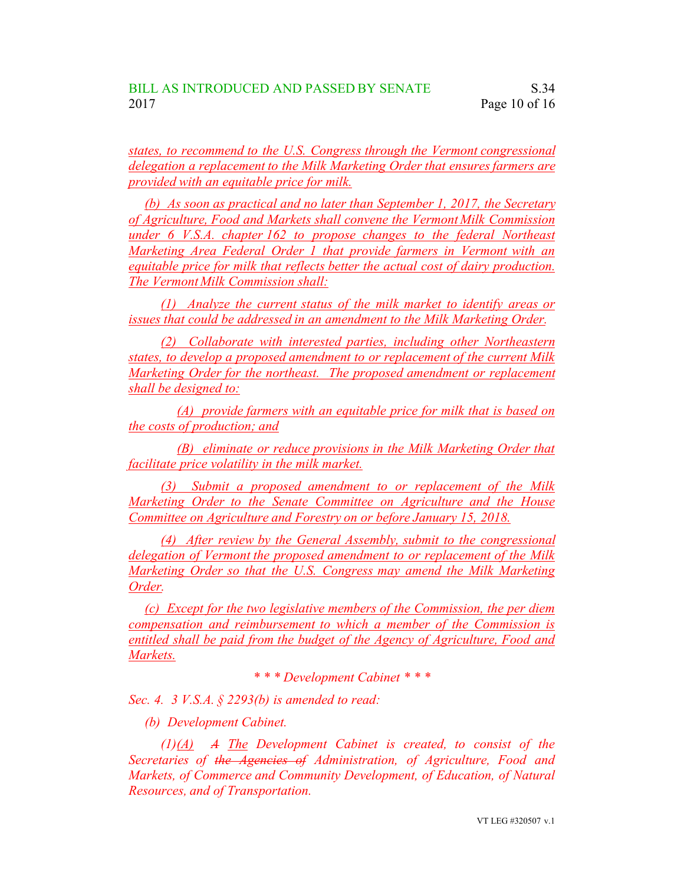*states, to recommend to the U.S. Congress through the Vermont congressional delegation a replacement to the Milk Marketing Order that ensuresfarmers are provided with an equitable price for milk.*

*(b) As soon as practical and no later than September 1, 2017, the Secretary of Agriculture, Food and Markets shall convene the Vermont Milk Commission under 6 V.S.A. chapter 162 to propose changes to the federal Northeast Marketing Area Federal Order 1 that provide farmers in Vermont with an equitable price for milk that reflects better the actual cost of dairy production. The Vermont Milk Commission shall:*

*(1) Analyze the current status of the milk market to identify areas or issues that could be addressed in an amendment to the Milk Marketing Order.*

*(2) Collaborate with interested parties, including other Northeastern states, to develop a proposed amendment to or replacement of the current Milk Marketing Order for the northeast. The proposed amendment or replacement shall be designed to:*

*(A) provide farmers with an equitable price for milk that is based on the costs of production; and*

*(B) eliminate or reduce provisions in the Milk Marketing Order that facilitate price volatility in the milk market.*

*(3) Submit a proposed amendment to or replacement of the Milk Marketing Order to the Senate Committee on Agriculture and the House Committee on Agriculture and Forestry on or before January 15, 2018.*

*(4) After review by the General Assembly, submit to the congressional delegation of Vermont the proposed amendment to or replacement of the Milk Marketing Order so that the U.S. Congress may amend the Milk Marketing Order.*

*(c) Except for the two legislative members of the Commission, the per diem compensation and reimbursement to which a member of the Commission is entitled shall be paid from the budget of the Agency of Agriculture, Food and Markets.*

*\* \* \* Development Cabinet \* \* \**

*Sec. 4. 3 V.S.A. § 2293(b) is amended to read:*

*(b) Development Cabinet.*

*(1)(A) A The Development Cabinet is created, to consist of the Secretaries of the Agencies of Administration, of Agriculture, Food and Markets, of Commerce and Community Development, of Education, of Natural Resources, and of Transportation.*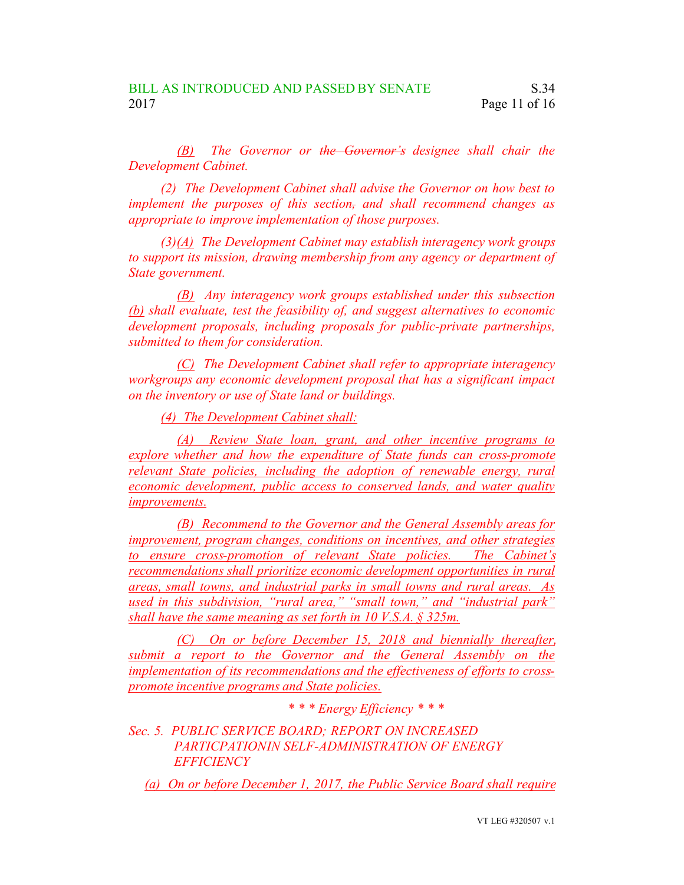*(B) The Governor or the Governor's designee shall chair the Development Cabinet.*

*(2) The Development Cabinet shall advise the Governor on how best to implement the purposes of this section, and shall recommend changes as appropriate to improve implementation of those purposes.*

*(3)(A) The Development Cabinet may establish interagency work groups to support its mission, drawing membership from any agency or department of State government.*

*(B) Any interagency work groups established under this subsection (b) shall evaluate, test the feasibility of, and suggest alternatives to economic development proposals, including proposals for public-private partnerships, submitted to them for consideration.*

*(C) The Development Cabinet shall refer to appropriate interagency workgroups any economic development proposal that has a significant impact on the inventory or use of State land or buildings.*

*(4) The Development Cabinet shall:*

*(A) Review State loan, grant, and other incentive programs to explore whether and how the expenditure of State funds can cross-promote relevant State policies, including the adoption of renewable energy, rural economic development, public access to conserved lands, and water quality improvements.*

*(B) Recommend to the Governor and the General Assembly areas for improvement, program changes, conditions on incentives, and other strategies to ensure cross-promotion of relevant State policies. The Cabinet's recommendations shall prioritize economic development opportunities in rural areas, small towns, and industrial parks in small towns and rural areas. As used in this subdivision, "rural area," "small town," and "industrial park" shall have the same meaning as set forth in 10 V.S.A. § 325m.*

*(C) On or before December 15, 2018 and biennially thereafter, submit a report to the Governor and the General Assembly on the implementation of its recommendations and the effectiveness of efforts to crosspromote incentive programs and State policies.*

*\* \* \* Energy Efficiency \* \* \**

*Sec. 5. PUBLIC SERVICE BOARD; REPORT ON INCREASED PARTICPATIONIN SELF-ADMINISTRATION OF ENERGY EFFICIENCY*

*(a) On or before December 1, 2017, the Public Service Board shall require*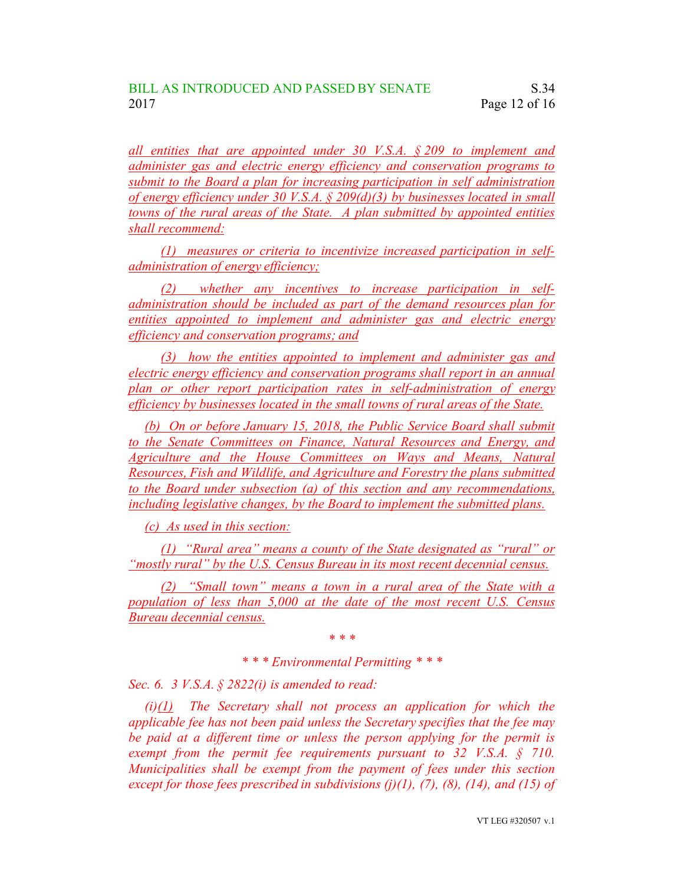*all entities that are appointed under 30 V.S.A. § 209 to implement and administer gas and electric energy efficiency and conservation programs to submit to the Board a plan for increasing participation in self administration of energy efficiency under 30 V.S.A. § 209(d)(3) by businesses located in small towns of the rural areas of the State. A plan submitted by appointed entities shall recommend:*

*(1) measures or criteria to incentivize increased participation in selfadministration of energy efficiency;*

*(2) whether any incentives to increase participation in selfadministration should be included as part of the demand resources plan for entities appointed to implement and administer gas and electric energy efficiency and conservation programs; and*

*(3) how the entities appointed to implement and administer gas and electric energy efficiency and conservation programs shall report in an annual plan or other report participation rates in self-administration of energy efficiency by businesses located in the small towns of rural areas of the State.*

*(b) On or before January 15, 2018, the Public Service Board shall submit to the Senate Committees on Finance, Natural Resources and Energy, and Agriculture and the House Committees on Ways and Means, Natural Resources, Fish and Wildlife, and Agriculture and Forestry the plans submitted to the Board under subsection (a) of this section and any recommendations, including legislative changes, by the Board to implement the submitted plans.*

*(c) As used in this section:*

*(1) "Rural area" means a county of the State designated as "rural" or "mostly rural" by the U.S. Census Bureau in its most recent decennial census.*

*(2) "Small town" means a town in a rural area of the State with a population of less than 5,000 at the date of the most recent U.S. Census Bureau decennial census.*

*\* \* \**

*\* \* \* Environmental Permitting \* \* \**

*Sec. 6. 3 V.S.A. § 2822(i) is amended to read:*

*(i)(1) The Secretary shall not process an application for which the applicable fee has not been paid unless the Secretary specifies that the fee may be paid at a different time or unless the person applying for the permit is exempt from the permit fee requirements pursuant to 32 V.S.A. § 710. Municipalities shall be exempt from the payment of fees under this section except for those fees prescribed in subdivisions (j)(1), (7), (8), (14), and (15) of*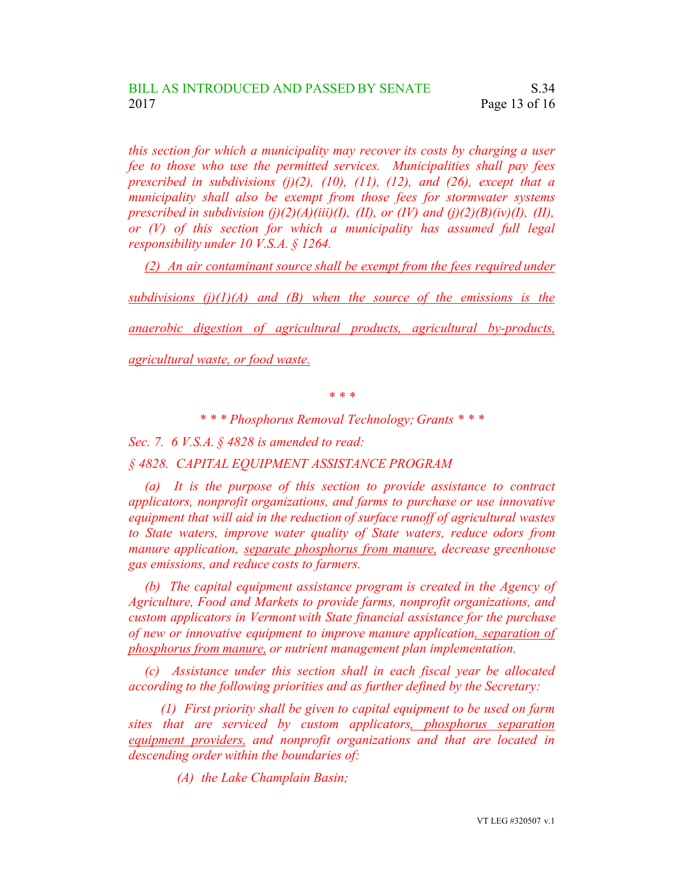*this section for which a municipality may recover its costs by charging a user fee to those who use the permitted services. Municipalities shall pay fees prescribed in subdivisions (j)(2), (10), (11), (12), and (26), except that a municipality shall also be exempt from those fees for stormwater systems prescribed in subdivision*  $(j)(2)(A)(iii)(I)$ ,  $(II)$ , or  $(IV)$  and  $(j)(2)(B)(iv)(I)$ ,  $(II)$ , *or (V) of this section for which a municipality has assumed full legal responsibility under 10 V.S.A. § 1264.*

*(2) An air contaminant source shall be exempt from the fees required under*

*subdivisions (j)(1)(A) and (B) when the source of the emissions is the*

*anaerobic digestion of agricultural products, agricultural by-products,*

*agricultural waste, or food waste.*

*\* \* \**

*\* \* \* Phosphorus Removal Technology; Grants \* \* \**

*Sec. 7. 6 V.S.A. § 4828 is amended to read:*

*§ 4828. CAPITAL EQUIPMENT ASSISTANCE PROGRAM*

*(a) It is the purpose of this section to provide assistance to contract applicators, nonprofit organizations, and farms to purchase or use innovative equipment that will aid in the reduction of surface runoff of agricultural wastes to State waters, improve water quality of State waters, reduce odors from manure application, separate phosphorus from manure, decrease greenhouse gas emissions, and reduce costs to farmers.*

*(b) The capital equipment assistance program is created in the Agency of Agriculture, Food and Markets to provide farms, nonprofit organizations, and custom applicators in Vermont with State financial assistance for the purchase of new or innovative equipment to improve manure application, separation of phosphorus from manure, or nutrient management plan implementation.*

*(c) Assistance under this section shall in each fiscal year be allocated according to the following priorities and as further defined by the Secretary:*

*(1) First priority shall be given to capital equipment to be used on farm sites that are serviced by custom applicators, phosphorus separation equipment providers, and nonprofit organizations and that are located in descending order within the boundaries of:*

*(A) the Lake Champlain Basin;*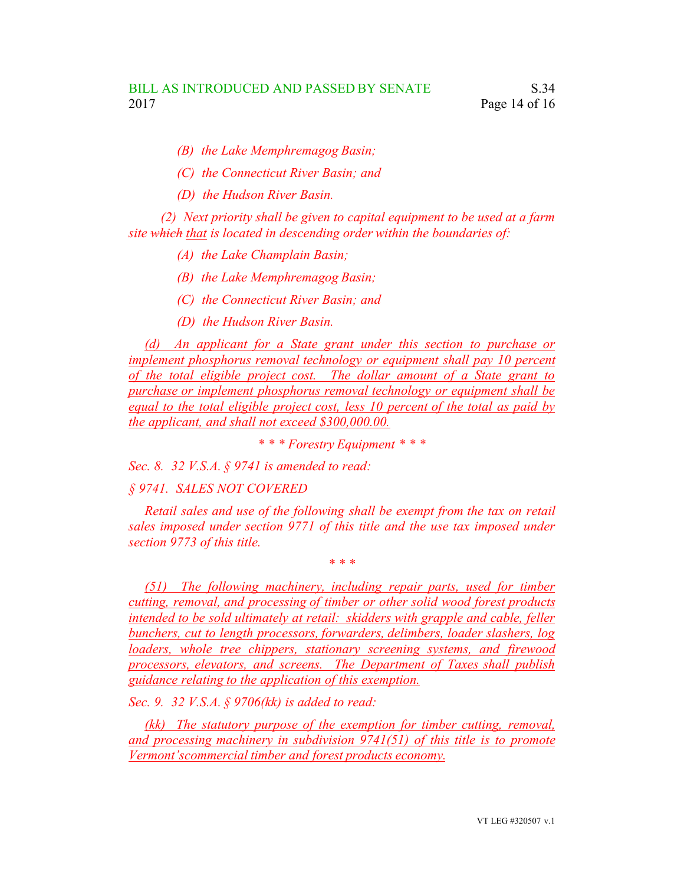- *(B) the Lake Memphremagog Basin;*
- *(C) the Connecticut River Basin; and*
- *(D) the Hudson River Basin.*

*(2) Next priority shall be given to capital equipment to be used at a farm site which that is located in descending order within the boundaries of:*

- *(A) the Lake Champlain Basin;*
- *(B) the Lake Memphremagog Basin;*
- *(C) the Connecticut River Basin; and*
- *(D) the Hudson River Basin.*

*(d) An applicant for a State grant under this section to purchase or implement phosphorus removal technology or equipment shall pay 10 percent of the total eligible project cost. The dollar amount of a State grant to purchase or implement phosphorus removal technology or equipment shall be equal to the total eligible project cost, less 10 percent of the total as paid by the applicant, and shall not exceed \$300,000.00.*

*\* \* \* Forestry Equipment \* \* \**

*Sec. 8. 32 V.S.A. § 9741 is amended to read:*

## *§ 9741. SALES NOT COVERED*

*Retail sales and use of the following shall be exempt from the tax on retail sales imposed under section 9771 of this title and the use tax imposed under section 9773 of this title.*

*\* \* \**

*(51) The following machinery, including repair parts, used for timber cutting, removal, and processing of timber or other solid wood forest products intended to be sold ultimately at retail: skidders with grapple and cable, feller bunchers, cut to length processors, forwarders, delimbers, loader slashers, log loaders, whole tree chippers, stationary screening systems, and firewood processors, elevators, and screens. The Department of Taxes shall publish guidance relating to the application of this exemption.*

*Sec. 9. 32 V.S.A. § 9706(kk) is added to read:*

*(kk) The statutory purpose of the exemption for timber cutting, removal, and processing machinery in subdivision 9741(51) of this title is to promote Vermont'scommercial timber and forest products economy.*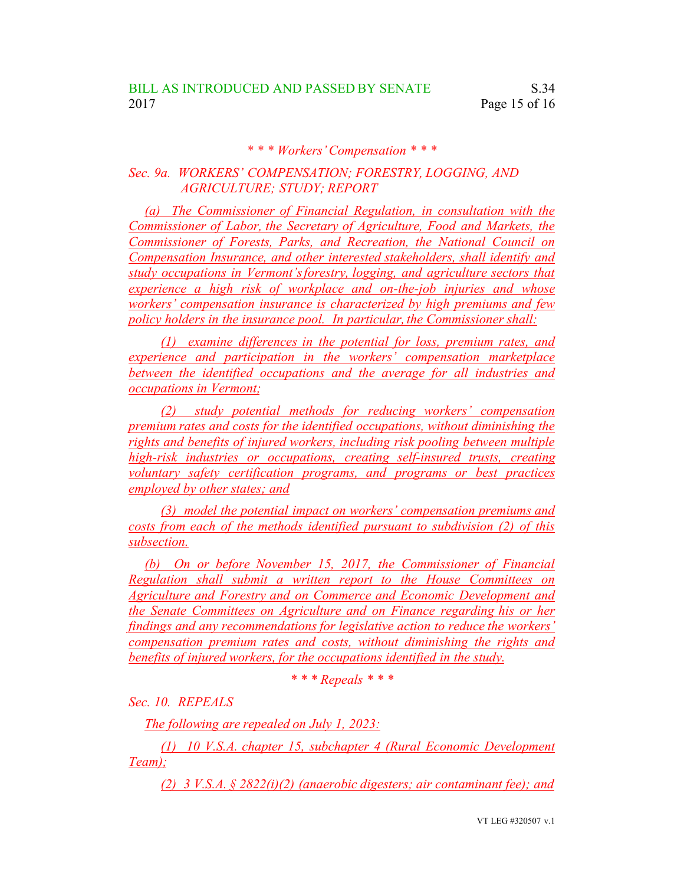## *\* \* \* Workers'Compensation \* \* \**

## *Sec. 9a. WORKERS' COMPENSATION; FORESTRY, LOGGING, AND AGRICULTURE; STUDY; REPORT*

*(a) The Commissioner of Financial Regulation, in consultation with the Commissioner of Labor, the Secretary of Agriculture, Food and Markets, the Commissioner of Forests, Parks, and Recreation, the National Council on Compensation Insurance, and other interested stakeholders, shall identify and study occupations in Vermont'sforestry, logging, and agriculture sectors that experience a high risk of workplace and on-the-job injuries and whose workers' compensation insurance is characterized by high premiums and few policy holders in the insurance pool. In particular,the Commissioner shall:*

*(1) examine differences in the potential for loss, premium rates, and experience and participation in the workers' compensation marketplace between the identified occupations and the average for all industries and occupations in Vermont;*

*(2) study potential methods for reducing workers' compensation premium rates and costs for the identified occupations, without diminishing the rights and benefits of injured workers, including risk pooling between multiple high-risk industries or occupations, creating self-insured trusts, creating voluntary safety certification programs, and programs or best practices employed by other states; and*

*(3) model the potential impact on workers' compensation premiums and costs from each of the methods identified pursuant to subdivision (2) of this subsection.*

*(b) On or before November 15, 2017, the Commissioner of Financial Regulation shall submit a written report to the House Committees on Agriculture and Forestry and on Commerce and Economic Development and the Senate Committees on Agriculture and on Finance regarding his or her findings and any recommendations for legislative action to reduce the workers' compensation premium rates and costs, without diminishing the rights and benefits of injured workers, for the occupations identified in the study.*

*\* \* \* Repeals \* \* \**

*Sec. 10. REPEALS*

*The following are repealed on July 1, 2023:*

*(1) 10 V.S.A. chapter 15, subchapter 4 (Rural Economic Development Team);*

*(2) 3 V.S.A. § 2822(i)(2) (anaerobic digesters; air contaminant fee); and*